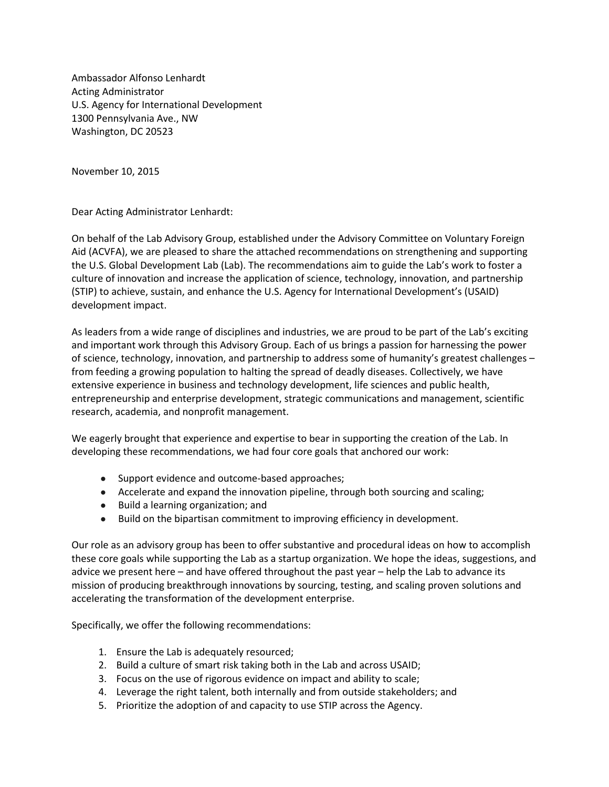Ambassador Alfonso Lenhardt Acting Administrator U.S. Agency for International Development 1300 Pennsylvania Ave., NW Washington, DC 20523

November 10, 2015

Dear Acting Administrator Lenhardt:

On behalf of the Lab Advisory Group, established under the Advisory Committee on Voluntary Foreign Aid (ACVFA), we are pleased to share the attached recommendations on strengthening and supporting the U.S. Global Development Lab (Lab). The recommendations aim to guide the Lab's work to foster a culture of innovation and increase the application of science, technology, innovation, and partnership (STIP) to achieve, sustain, and enhance the U.S. Agency for International Development's (USAID) development impact.

As leaders from a wide range of disciplines and industries, we are proud to be part of the Lab's exciting and important work through this Advisory Group. Each of us brings a passion for harnessing the power of science, technology, innovation, and partnership to address some of humanity's greatest challenges – from feeding a growing population to halting the spread of deadly diseases. Collectively, we have extensive experience in business and technology development, life sciences and public health, entrepreneurship and enterprise development, strategic communications and management, scientific research, academia, and nonprofit management.

We eagerly brought that experience and expertise to bear in supporting the creation of the Lab. In developing these recommendations, we had four core goals that anchored our work:

- Support evidence and outcome-based approaches;
- Accelerate and expand the innovation pipeline, through both sourcing and scaling;
- Build a learning organization; and
- Build on the bipartisan commitment to improving efficiency in development.

Our role as an advisory group has been to offer substantive and procedural ideas on how to accomplish these core goals while supporting the Lab as a startup organization. We hope the ideas, suggestions, and advice we present here – and have offered throughout the past year – help the Lab to advance its mission of producing breakthrough innovations by sourcing, testing, and scaling proven solutions and accelerating the transformation of the development enterprise.

Specifically, we offer the following recommendations:

- 1. Ensure the Lab is adequately resourced;
- 2. Build a culture of smart risk taking both in the Lab and across USAID;
- 3. Focus on the use of rigorous evidence on impact and ability to scale;
- 4. Leverage the right talent, both internally and from outside stakeholders; and
- 5. Prioritize the adoption of and capacity to use STIP across the Agency.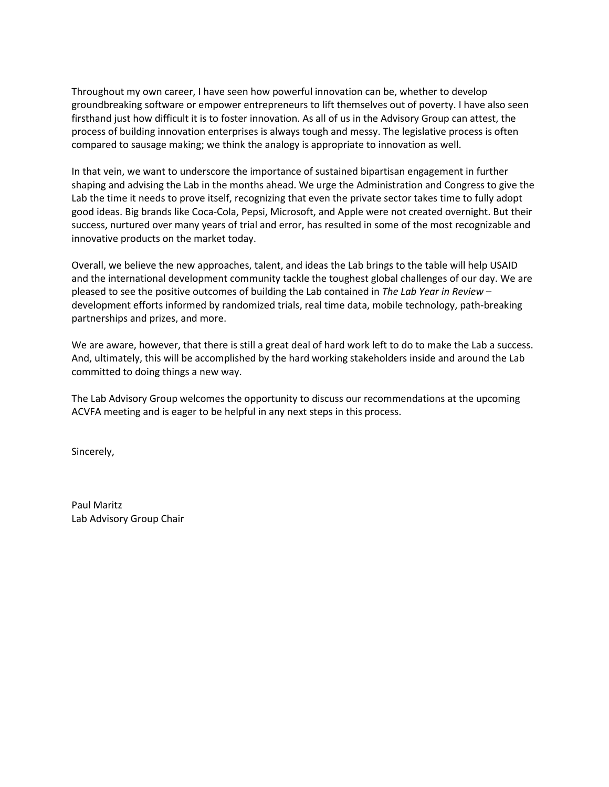Throughout my own career, I have seen how powerful innovation can be, whether to develop groundbreaking software or empower entrepreneurs to lift themselves out of poverty. I have also seen firsthand just how difficult it is to foster innovation. As all of us in the Advisory Group can attest, the process of building innovation enterprises is always tough and messy. The legislative process is often compared to sausage making; we think the analogy is appropriate to innovation as well.

In that vein, we want to underscore the importance of sustained bipartisan engagement in further shaping and advising the Lab in the months ahead. We urge the Administration and Congress to give the Lab the time it needs to prove itself, recognizing that even the private sector takes time to fully adopt good ideas. Big brands like Coca-Cola, Pepsi, Microsoft, and Apple were not created overnight. But their success, nurtured over many years of trial and error, has resulted in some of the most recognizable and innovative products on the market today.

Overall, we believe the new approaches, talent, and ideas the Lab brings to the table will help USAID and the international development community tackle the toughest global challenges of our day. We are pleased to see the positive outcomes of building the Lab contained in *The Lab Year in Review* – development efforts informed by randomized trials, real time data, mobile technology, path-breaking partnerships and prizes, and more.

We are aware, however, that there is still a great deal of hard work left to do to make the Lab a success. And, ultimately, this will be accomplished by the hard working stakeholders inside and around the Lab committed to doing things a new way.

The Lab Advisory Group welcomes the opportunity to discuss our recommendations at the upcoming ACVFA meeting and is eager to be helpful in any next steps in this process.

Sincerely,

Paul Maritz Lab Advisory Group Chair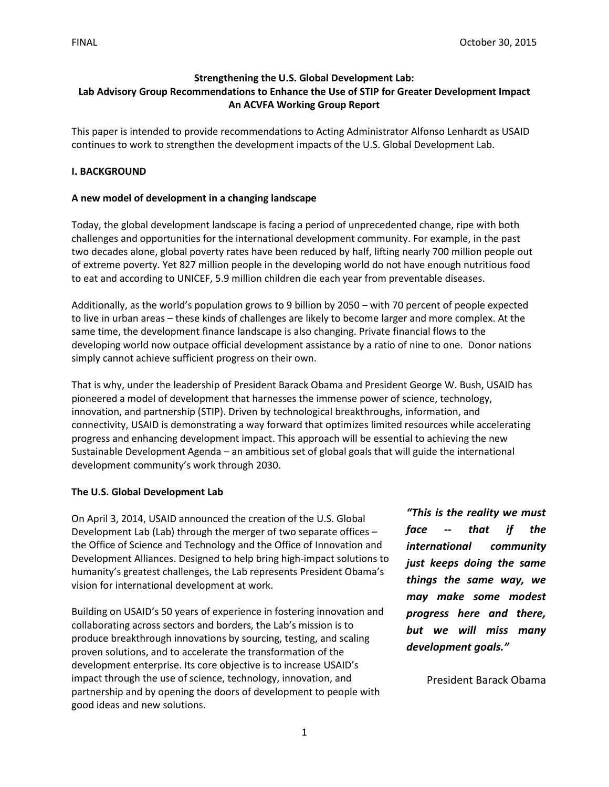## **Strengthening the U.S. Global Development Lab: Lab Advisory Group Recommendations to Enhance the Use of STIP for Greater Development Impact An ACVFA Working Group Report**

This paper is intended to provide recommendations to Acting Administrator Alfonso Lenhardt as USAID continues to work to strengthen the development impacts of the U.S. Global Development Lab.

## **I. BACKGROUND**

### **A new model of development in a changing landscape**

Today, the global development landscape is facing a period of unprecedented change, ripe with both challenges and opportunities for the international development community. For example, in the past two decades alone, global poverty rates have been reduced by half, lifting nearly 700 million people out of extreme poverty. Yet 827 million people in the developing world do not have enough nutritious food to eat and according to UNICEF, 5.9 million children die each year from preventable diseases.

Additionally, as the world's population grows to 9 billion by 2050 – with 70 percent of people expected to live in urban areas – these kinds of challenges are likely to become larger and more complex. At the same time, the development finance landscape is also changing. Private financial flows to the developing world now outpace official development assistance by a ratio of nine to one. Donor nations simply cannot achieve sufficient progress on their own.

That is why, under the leadership of President Barack Obama and President George W. Bush, USAID has pioneered a model of development that harnesses the immense power of science, technology, innovation, and partnership (STIP). Driven by technological breakthroughs, information, and connectivity, USAID is demonstrating a way forward that optimizes limited resources while accelerating progress and enhancing development impact. This approach will be essential to achieving the new Sustainable Development Agenda – an ambitious set of global goals that will guide the international development community's work through 2030.

#### **The U.S. Global Development Lab**

On April 3, 2014, USAID announced the creation of the U.S. Global Development Lab (Lab) through the merger of two separate offices – the Office of Science and Technology and the Office of Innovation and Development Alliances. Designed to help bring high-impact solutions to humanity's greatest challenges, the Lab represents President Obama's vision for international development at work.

Building on USAID's 50 years of experience in fostering innovation and collaborating across sectors and borders, the Lab's mission is to produce breakthrough innovations by sourcing, testing, and scaling proven solutions, and to accelerate the transformation of the development enterprise. Its core objective is to increase USAID's impact through the use of science, technology, innovation, and partnership and by opening the doors of development to people with good ideas and new solutions.

*"This is the reality we must face -- that if the international community just keeps doing the same things the same way, we may make some modest progress here and there, but we will miss many development goals."* 

President Barack Obama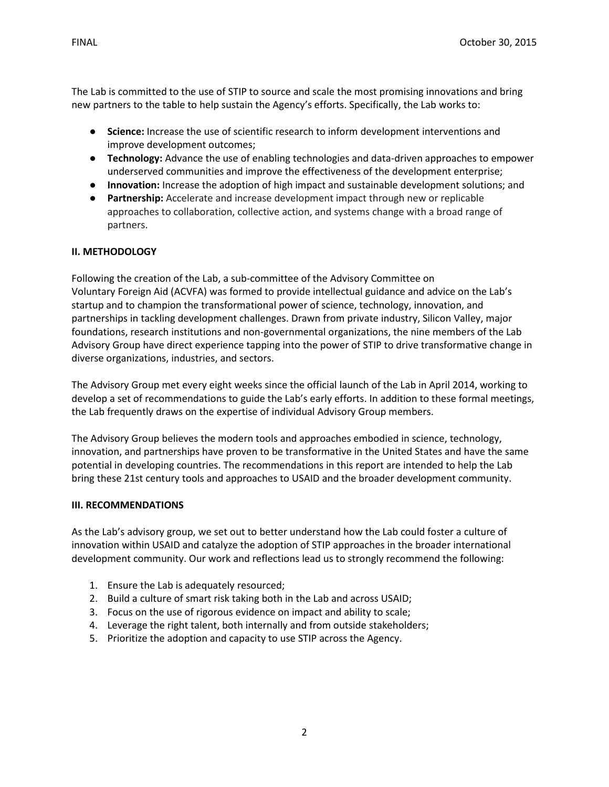2

The Lab is committed to the use of STIP to source and scale the most promising innovations and bring new partners to the table to help sustain the Agency's efforts. Specifically, the Lab works to:

- **Science:** Increase the use of scientific research to inform development interventions and improve development outcomes;
- **Technology:** Advance the use of enabling technologies and data-driven approaches to empower underserved communities and improve the effectiveness of the development enterprise;
- **Innovation:** Increase the adoption of high impact and sustainable development solutions; and
- **Partnership:** Accelerate and increase development impact through new or replicable approaches to collaboration, collective action, and systems change with a broad range of partners.

## **II. METHODOLOGY**

Following the creation of the Lab, a sub-committee of the Advisory Committee on Voluntary Foreign Aid (ACVFA) was formed to provide intellectual guidance and advice on the Lab's startup and to champion the transformational power of science, technology, innovation, and partnerships in tackling development challenges. Drawn from private industry, Silicon Valley, major foundations, research institutions and non-governmental organizations, the nine members of the Lab Advisory Group have direct experience tapping into the power of STIP to drive transformative change in diverse organizations, industries, and sectors.

The Advisory Group met every eight weeks since the official launch of the Lab in April 2014, working to develop a set of recommendations to guide the Lab's early efforts. In addition to these formal meetings, the Lab frequently draws on the expertise of individual Advisory Group members.

The Advisory Group believes the modern tools and approaches embodied in science, technology, innovation, and partnerships have proven to be transformative in the United States and have the same potential in developing countries. The recommendations in this report are intended to help the Lab bring these 21st century tools and approaches to USAID and the broader development community.

#### **III. RECOMMENDATIONS**

As the Lab's advisory group, we set out to better understand how the Lab could foster a culture of innovation within USAID and catalyze the adoption of STIP approaches in the broader international development community. Our work and reflections lead us to strongly recommend the following:

- 1. Ensure the Lab is adequately resourced;
- 2. Build a culture of smart risk taking both in the Lab and across USAID;
- 3. Focus on the use of rigorous evidence on impact and ability to scale;
- 4. Leverage the right talent, both internally and from outside stakeholders;
- 5. Prioritize the adoption and capacity to use STIP across the Agency.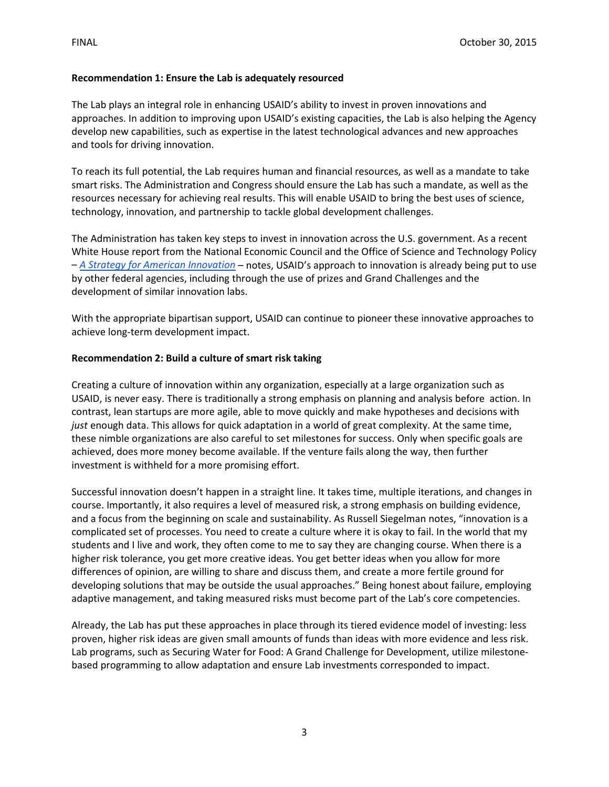## **Recommendation 1: Ensure the Lab is adequately resourced**

The Lab plays an integral role in enhancing USAID's ability to invest in proven innovations and approaches. In addition to improving upon USAID's existing capacities, the Lab is also helping the Agency develop new capabilities, such as expertise in the latest technological advances and new approaches and tools for driving innovation.

To reach its full potential, the Lab requires human and financial resources, as well as a mandate to take smart risks. The Administration and Congress should ensure the Lab has such a mandate, as well as the resources necessary for achieving real results. This will enable USAID to bring the best uses of science, technology, innovation, and partnership to tackle global development challenges.

The Administration has taken key steps to invest in innovation across the U.S. government. As a recent White House report from the National Economic Council and the Office of Science and Technology Policy – *[A Strategy for American Innovation](https://www.whitehouse.gov/sites/default/files/strategy_for_american_innovation_october_2015.pdf)* – notes, USAID's approach to innovation is already being put to use by other federal agencies, including through the use of prizes and Grand Challenges and the development of similar innovation labs.

With the appropriate bipartisan support, USAID can continue to pioneer these innovative approaches to achieve long-term development impact.

#### **Recommendation 2: Build a culture of smart risk taking**

Creating a culture of innovation within any organization, especially at a large organization such as USAID, is never easy. There is traditionally a strong emphasis on planning and analysis before action. In contrast, lean startups are more agile, able to move quickly and make hypotheses and decisions with *just* enough data. This allows for quick adaptation in a world of great complexity. At the same time, these nimble organizations are also careful to set milestones for success. Only when specific goals are achieved, does more money become available. If the venture fails along the way, then further investment is withheld for a more promising effort.

Successful innovation doesn't happen in a straight line. It takes time, multiple iterations, and changes in course. Importantly, it also requires a level of measured risk, a strong emphasis on building evidence, and a focus from the beginning on scale and sustainability. As Russell Siegelman notes, "innovation is a complicated set of processes. You need to create a culture where it is okay to fail. In the world that my students and I live and work, they often come to me to say they are changing course. When there is a higher risk tolerance, you get more creative ideas. You get better ideas when you allow for more differences of opinion, are willing to share and discuss them, and create a more fertile ground for developing solutions that may be outside the usual approaches." Being honest about failure, employing adaptive management, and taking measured risks must become part of the Lab's core competencies.

Already, the Lab has put these approaches in place through its tiered evidence model of investing: less proven, higher risk ideas are given small amounts of funds than ideas with more evidence and less risk. Lab programs, such as Securing Water for Food: A Grand Challenge for Development, utilize milestonebased programming to allow adaptation and ensure Lab investments corresponded to impact.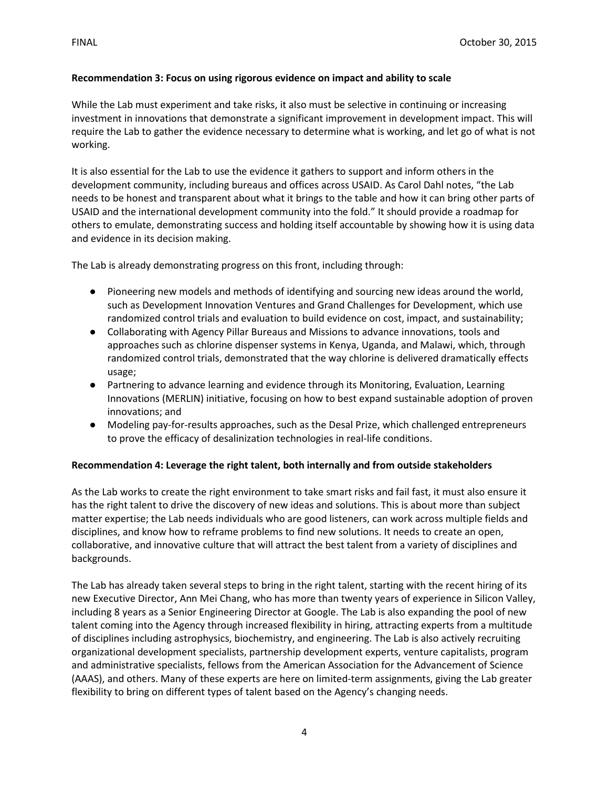## **Recommendation 3: Focus on using rigorous evidence on impact and ability to scale**

While the Lab must experiment and take risks, it also must be selective in continuing or increasing investment in innovations that demonstrate a significant improvement in development impact. This will require the Lab to gather the evidence necessary to determine what is working, and let go of what is not working.

It is also essential for the Lab to use the evidence it gathers to support and inform others in the development community, including bureaus and offices across USAID. As Carol Dahl notes, "the Lab needs to be honest and transparent about what it brings to the table and how it can bring other parts of USAID and the international development community into the fold." It should provide a roadmap for others to emulate, demonstrating success and holding itself accountable by showing how it is using data and evidence in its decision making.

The Lab is already demonstrating progress on this front, including through:

- Pioneering new models and methods of identifying and sourcing new ideas around the world, such as Development Innovation Ventures and Grand Challenges for Development, which use randomized control trials and evaluation to build evidence on cost, impact, and sustainability;
- Collaborating with Agency Pillar Bureaus and Missions to advance innovations, tools and approaches such as chlorine dispenser systems in Kenya, Uganda, and Malawi, which, through randomized control trials, demonstrated that the way chlorine is delivered dramatically effects usage;
- Partnering to advance learning and evidence through its Monitoring, Evaluation, Learning Innovations (MERLIN) initiative, focusing on how to best expand sustainable adoption of proven innovations; and
- Modeling pay-for-results approaches, such as the Desal Prize, which challenged entrepreneurs to prove the efficacy of desalinization technologies in real-life conditions.

# **Recommendation 4: Leverage the right talent, both internally and from outside stakeholders**

As the Lab works to create the right environment to take smart risks and fail fast, it must also ensure it has the right talent to drive the discovery of new ideas and solutions. This is about more than subject matter expertise; the Lab needs individuals who are good listeners, can work across multiple fields and disciplines, and know how to reframe problems to find new solutions. It needs to create an open, collaborative, and innovative culture that will attract the best talent from a variety of disciplines and backgrounds.

The Lab has already taken several steps to bring in the right talent, starting with the recent hiring of its new Executive Director, Ann Mei Chang, who has more than twenty years of experience in Silicon Valley, including 8 years as a Senior Engineering Director at Google. The Lab is also expanding the pool of new talent coming into the Agency through increased flexibility in hiring, attracting experts from a multitude of disciplines including astrophysics, biochemistry, and engineering. The Lab is also actively recruiting organizational development specialists, partnership development experts, venture capitalists, program and administrative specialists, fellows from the American Association for the Advancement of Science (AAAS), and others. Many of these experts are here on limited-term assignments, giving the Lab greater flexibility to bring on different types of talent based on the Agency's changing needs.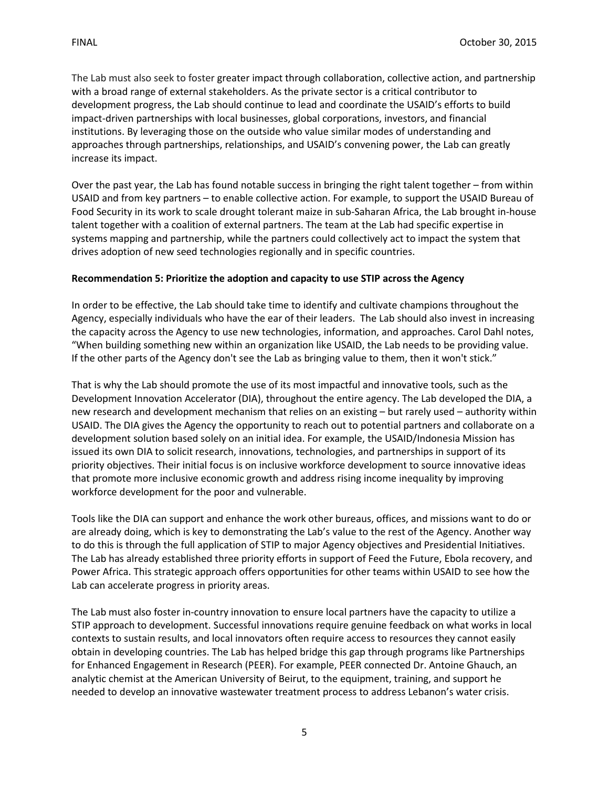The Lab must also seek to foster greater impact through collaboration, collective action, and partnership with a broad range of external stakeholders. As the private sector is a critical contributor to development progress, the Lab should continue to lead and coordinate the USAID's efforts to build impact-driven partnerships with local businesses, global corporations, investors, and financial institutions. By leveraging those on the outside who value similar modes of understanding and approaches through partnerships, relationships, and USAID's convening power, the Lab can greatly increase its impact.

Over the past year, the Lab has found notable success in bringing the right talent together – from within USAID and from key partners – to enable collective action. For example, to support the USAID Bureau of Food Security in its work to scale drought tolerant maize in sub-Saharan Africa, the Lab brought in-house talent together with a coalition of external partners. The team at the Lab had specific expertise in systems mapping and partnership, while the partners could collectively act to impact the system that drives adoption of new seed technologies regionally and in specific countries.

## **Recommendation 5: Prioritize the adoption and capacity to use STIP across the Agency**

In order to be effective, the Lab should take time to identify and cultivate champions throughout the Agency, especially individuals who have the ear of their leaders. The Lab should also invest in increasing the capacity across the Agency to use new technologies, information, and approaches. Carol Dahl notes, "When building something new within an organization like USAID, the Lab needs to be providing value. If the other parts of the Agency don't see the Lab as bringing value to them, then it won't stick."

That is why the Lab should promote the use of its most impactful and innovative tools, such as the Development Innovation Accelerator (DIA), throughout the entire agency. The Lab developed the DIA, a new research and development mechanism that relies on an existing – but rarely used – authority within USAID. The DIA gives the Agency the opportunity to reach out to potential partners and collaborate on a development solution based solely on an initial idea. For example, the USAID/Indonesia Mission has issued its own DIA to solicit research, innovations, technologies, and partnerships in support of its priority objectives. Their initial focus is on inclusive workforce development to source innovative ideas that promote more inclusive economic growth and address rising income inequality by improving workforce development for the poor and vulnerable.

Tools like the DIA can support and enhance the work other bureaus, offices, and missions want to do or are already doing, which is key to demonstrating the Lab's value to the rest of the Agency. Another way to do this is through the full application of STIP to major Agency objectives and Presidential Initiatives. The Lab has already established three priority efforts in support of Feed the Future, Ebola recovery, and Power Africa. This strategic approach offers opportunities for other teams within USAID to see how the Lab can accelerate progress in priority areas.

The Lab must also foster in-country innovation to ensure local partners have the capacity to utilize a STIP approach to development. Successful innovations require genuine feedback on what works in local contexts to sustain results, and local innovators often require access to resources they cannot easily obtain in developing countries. The Lab has helped bridge this gap through programs like Partnerships for Enhanced Engagement in Research (PEER). For example, PEER connected Dr. Antoine Ghauch, an analytic chemist at the American University of Beirut, to the equipment, training, and support he needed to develop an innovative wastewater treatment process to address Lebanon's water crisis.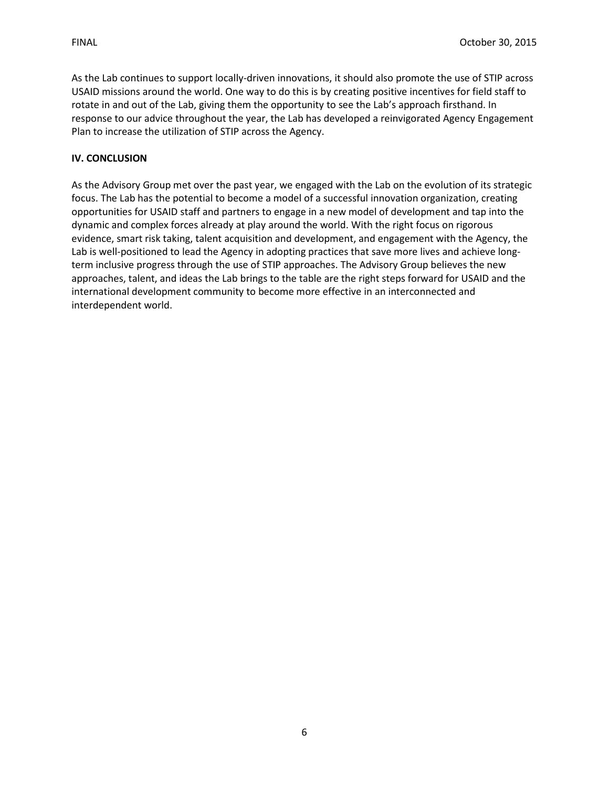As the Lab continues to support locally-driven innovations, it should also promote the use of STIP across USAID missions around the world. One way to do this is by creating positive incentives for field staff to rotate in and out of the Lab, giving them the opportunity to see the Lab's approach firsthand. In response to our advice throughout the year, the Lab has developed a reinvigorated Agency Engagement Plan to increase the utilization of STIP across the Agency.

## **IV. CONCLUSION**

As the Advisory Group met over the past year, we engaged with the Lab on the evolution of its strategic focus. The Lab has the potential to become a model of a successful innovation organization, creating opportunities for USAID staff and partners to engage in a new model of development and tap into the dynamic and complex forces already at play around the world. With the right focus on rigorous evidence, smart risk taking, talent acquisition and development, and engagement with the Agency, the Lab is well-positioned to lead the Agency in adopting practices that save more lives and achieve longterm inclusive progress through the use of STIP approaches. The Advisory Group believes the new approaches, talent, and ideas the Lab brings to the table are the right steps forward for USAID and the international development community to become more effective in an interconnected and interdependent world.